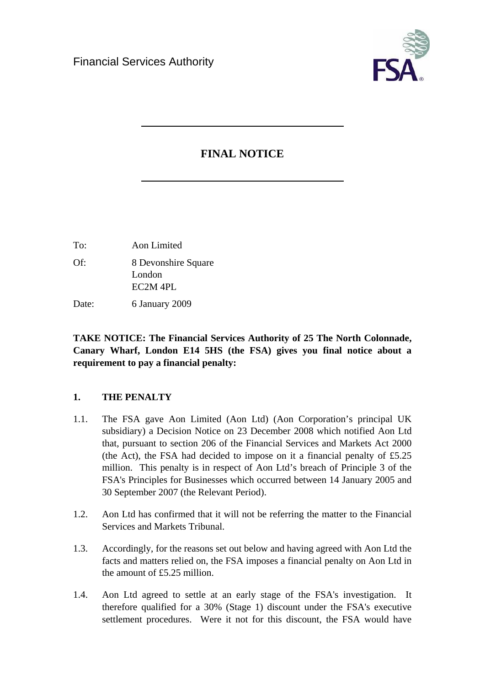

# **FINAL NOTICE**

| To:   | Aon Limited                   |
|-------|-------------------------------|
| Of:   | 8 Devonshire Square<br>London |
|       | $EC2M$ 4PL                    |
| Date: | 6 January 2009                |

**TAKE NOTICE: The Financial Services Authority of 25 The North Colonnade, Canary Wharf, London E14 5HS (the FSA) gives you final notice about a requirement to pay a financial penalty:** 

## **1. THE PENALTY**

- 1.1. The FSA gave Aon Limited (Aon Ltd) (Aon Corporation's principal UK subsidiary) a Decision Notice on 23 December 2008 which notified Aon Ltd that, pursuant to section 206 of the Financial Services and Markets Act 2000 (the Act), the FSA had decided to impose on it a financial penalty of  $£5.25$ million. This penalty is in respect of Aon Ltd's breach of Principle 3 of the FSA's Principles for Businesses which occurred between 14 January 2005 and 30 September 2007 (the Relevant Period).
- 1.2. Aon Ltd has confirmed that it will not be referring the matter to the Financial Services and Markets Tribunal.
- 1.3. Accordingly, for the reasons set out below and having agreed with Aon Ltd the facts and matters relied on, the FSA imposes a financial penalty on Aon Ltd in the amount of £5.25 million.
- 1.4. Aon Ltd agreed to settle at an early stage of the FSA's investigation. It therefore qualified for a 30% (Stage 1) discount under the FSA's executive settlement procedures. Were it not for this discount, the FSA would have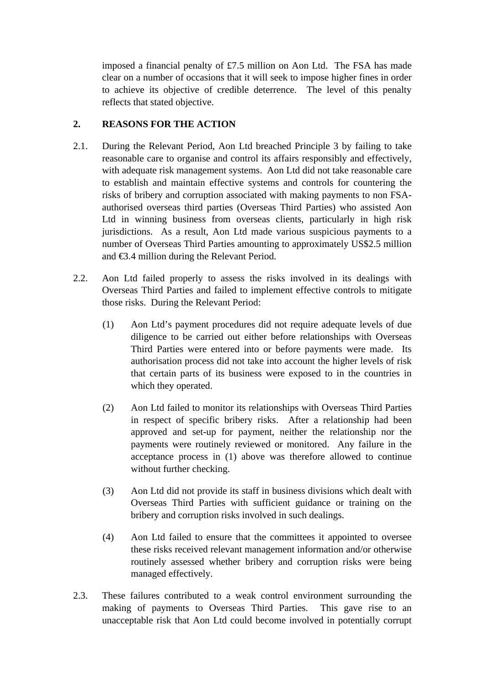imposed a financial penalty of £7.5 million on Aon Ltd. The FSA has made clear on a number of occasions that it will seek to impose higher fines in order to achieve its objective of credible deterrence. The level of this penalty reflects that stated objective.

# **2. REASONS FOR THE ACTION**

- 2.1. During the Relevant Period, Aon Ltd breached Principle 3 by failing to take reasonable care to organise and control its affairs responsibly and effectively, with adequate risk management systems. Aon Ltd did not take reasonable care to establish and maintain effective systems and controls for countering the risks of bribery and corruption associated with making payments to non FSAauthorised overseas third parties (Overseas Third Parties) who assisted Aon Ltd in winning business from overseas clients, particularly in high risk jurisdictions. As a result, Aon Ltd made various suspicious payments to a number of Overseas Third Parties amounting to approximately US\$2.5 million and €3.4 million during the Relevant Period.
- 2.2. Aon Ltd failed properly to assess the risks involved in its dealings with Overseas Third Parties and failed to implement effective controls to mitigate those risks. During the Relevant Period:
	- (1) Aon Ltd's payment procedures did not require adequate levels of due diligence to be carried out either before relationships with Overseas Third Parties were entered into or before payments were made. Its authorisation process did not take into account the higher levels of risk that certain parts of its business were exposed to in the countries in which they operated.
	- (2) Aon Ltd failed to monitor its relationships with Overseas Third Parties in respect of specific bribery risks. After a relationship had been approved and set-up for payment, neither the relationship nor the payments were routinely reviewed or monitored. Any failure in the acceptance process in (1) above was therefore allowed to continue without further checking.
	- (3) Aon Ltd did not provide its staff in business divisions which dealt with Overseas Third Parties with sufficient guidance or training on the bribery and corruption risks involved in such dealings.
	- (4) Aon Ltd failed to ensure that the committees it appointed to oversee these risks received relevant management information and/or otherwise routinely assessed whether bribery and corruption risks were being managed effectively.
- 2.3. These failures contributed to a weak control environment surrounding the making of payments to Overseas Third Parties. This gave rise to an unacceptable risk that Aon Ltd could become involved in potentially corrupt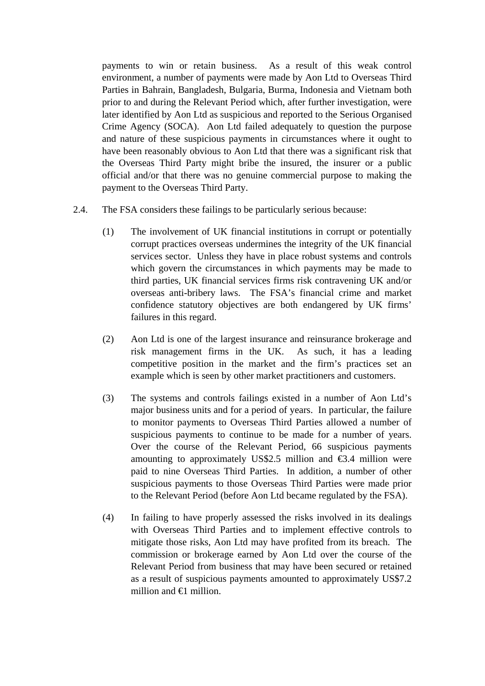payments to win or retain business. As a result of this weak control environment, a number of payments were made by Aon Ltd to Overseas Third Parties in Bahrain, Bangladesh, Bulgaria, Burma, Indonesia and Vietnam both prior to and during the Relevant Period which, after further investigation, were later identified by Aon Ltd as suspicious and reported to the Serious Organised Crime Agency (SOCA). Aon Ltd failed adequately to question the purpose and nature of these suspicious payments in circumstances where it ought to have been reasonably obvious to Aon Ltd that there was a significant risk that the Overseas Third Party might bribe the insured, the insurer or a public official and/or that there was no genuine commercial purpose to making the payment to the Overseas Third Party.

- 2.4. The FSA considers these failings to be particularly serious because:
	- (1) The involvement of UK financial institutions in corrupt or potentially corrupt practices overseas undermines the integrity of the UK financial services sector. Unless they have in place robust systems and controls which govern the circumstances in which payments may be made to third parties, UK financial services firms risk contravening UK and/or overseas anti-bribery laws. The FSA's financial crime and market confidence statutory objectives are both endangered by UK firms' failures in this regard.
	- (2) Aon Ltd is one of the largest insurance and reinsurance brokerage and risk management firms in the UK. As such, it has a leading competitive position in the market and the firm's practices set an example which is seen by other market practitioners and customers.
	- (3) The systems and controls failings existed in a number of Aon Ltd's major business units and for a period of years. In particular, the failure to monitor payments to Overseas Third Parties allowed a number of suspicious payments to continue to be made for a number of years. Over the course of the Relevant Period, 66 suspicious payments amounting to approximately US\$2.5 million and  $\epsilon$ 3.4 million were paid to nine Overseas Third Parties. In addition, a number of other suspicious payments to those Overseas Third Parties were made prior to the Relevant Period (before Aon Ltd became regulated by the FSA).
	- (4) In failing to have properly assessed the risks involved in its dealings with Overseas Third Parties and to implement effective controls to mitigate those risks, Aon Ltd may have profited from its breach. The commission or brokerage earned by Aon Ltd over the course of the Relevant Period from business that may have been secured or retained as a result of suspicious payments amounted to approximately US\$7.2 million and  $\bigoplus$  million.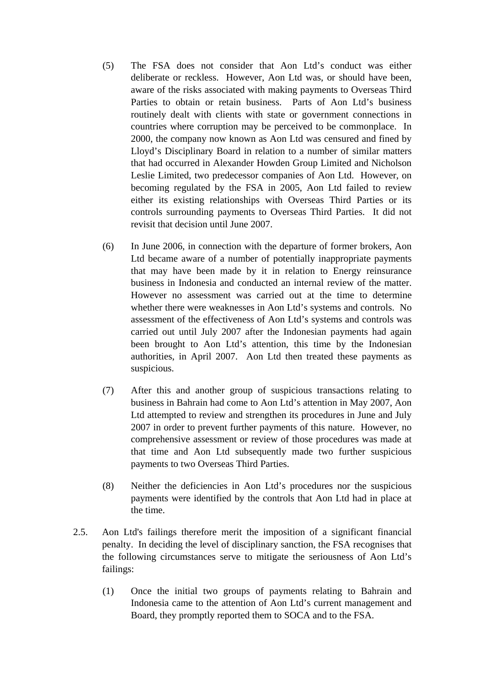- (5) The FSA does not consider that Aon Ltd's conduct was either deliberate or reckless. However, Aon Ltd was, or should have been, aware of the risks associated with making payments to Overseas Third Parties to obtain or retain business. Parts of Aon Ltd's business routinely dealt with clients with state or government connections in countries where corruption may be perceived to be commonplace. In 2000, the company now known as Aon Ltd was censured and fined by Lloyd's Disciplinary Board in relation to a number of similar matters that had occurred in Alexander Howden Group Limited and Nicholson Leslie Limited, two predecessor companies of Aon Ltd. However, on becoming regulated by the FSA in 2005, Aon Ltd failed to review either its existing relationships with Overseas Third Parties or its controls surrounding payments to Overseas Third Parties. It did not revisit that decision until June 2007.
- (6) In June 2006, in connection with the departure of former brokers, Aon Ltd became aware of a number of potentially inappropriate payments that may have been made by it in relation to Energy reinsurance business in Indonesia and conducted an internal review of the matter. However no assessment was carried out at the time to determine whether there were weaknesses in Aon Ltd's systems and controls. No assessment of the effectiveness of Aon Ltd's systems and controls was carried out until July 2007 after the Indonesian payments had again been brought to Aon Ltd's attention, this time by the Indonesian authorities, in April 2007. Aon Ltd then treated these payments as suspicious.
- (7) After this and another group of suspicious transactions relating to business in Bahrain had come to Aon Ltd's attention in May 2007, Aon Ltd attempted to review and strengthen its procedures in June and July 2007 in order to prevent further payments of this nature. However, no comprehensive assessment or review of those procedures was made at that time and Aon Ltd subsequently made two further suspicious payments to two Overseas Third Parties.
- (8) Neither the deficiencies in Aon Ltd's procedures nor the suspicious payments were identified by the controls that Aon Ltd had in place at the time.
- 2.5. Aon Ltd's failings therefore merit the imposition of a significant financial penalty. In deciding the level of disciplinary sanction, the FSA recognises that the following circumstances serve to mitigate the seriousness of Aon Ltd's failings:
	- (1) Once the initial two groups of payments relating to Bahrain and Indonesia came to the attention of Aon Ltd's current management and Board, they promptly reported them to SOCA and to the FSA.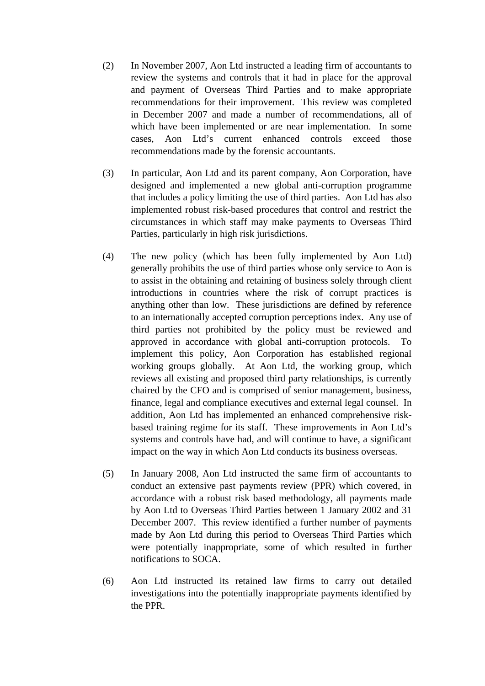- (2) In November 2007, Aon Ltd instructed a leading firm of accountants to review the systems and controls that it had in place for the approval and payment of Overseas Third Parties and to make appropriate recommendations for their improvement. This review was completed in December 2007 and made a number of recommendations, all of which have been implemented or are near implementation. In some cases, Aon Ltd's current enhanced controls exceed those recommendations made by the forensic accountants.
- (3) In particular, Aon Ltd and its parent company, Aon Corporation, have designed and implemented a new global anti-corruption programme that includes a policy limiting the use of third parties. Aon Ltd has also implemented robust risk-based procedures that control and restrict the circumstances in which staff may make payments to Overseas Third Parties, particularly in high risk jurisdictions.
- (4) The new policy (which has been fully implemented by Aon Ltd) generally prohibits the use of third parties whose only service to Aon is to assist in the obtaining and retaining of business solely through client introductions in countries where the risk of corrupt practices is anything other than low. These jurisdictions are defined by reference to an internationally accepted corruption perceptions index. Any use of third parties not prohibited by the policy must be reviewed and approved in accordance with global anti-corruption protocols. To implement this policy, Aon Corporation has established regional working groups globally. At Aon Ltd, the working group, which reviews all existing and proposed third party relationships, is currently chaired by the CFO and is comprised of senior management, business, finance, legal and compliance executives and external legal counsel. In addition, Aon Ltd has implemented an enhanced comprehensive riskbased training regime for its staff. These improvements in Aon Ltd's systems and controls have had, and will continue to have, a significant impact on the way in which Aon Ltd conducts its business overseas.
- (5) In January 2008, Aon Ltd instructed the same firm of accountants to conduct an extensive past payments review (PPR) which covered, in accordance with a robust risk based methodology, all payments made by Aon Ltd to Overseas Third Parties between 1 January 2002 and 31 December 2007. This review identified a further number of payments made by Aon Ltd during this period to Overseas Third Parties which were potentially inappropriate, some of which resulted in further notifications to SOCA.
- (6) Aon Ltd instructed its retained law firms to carry out detailed investigations into the potentially inappropriate payments identified by the PPR.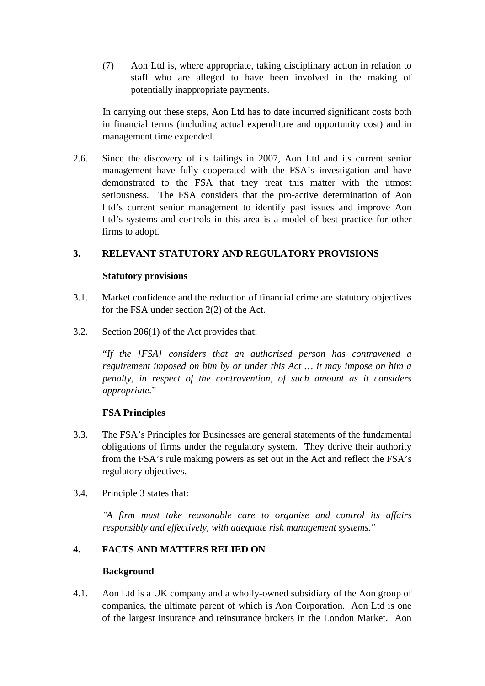(7) Aon Ltd is, where appropriate, taking disciplinary action in relation to staff who are alleged to have been involved in the making of potentially inappropriate payments.

In carrying out these steps, Aon Ltd has to date incurred significant costs both in financial terms (including actual expenditure and opportunity cost) and in management time expended.

2.6. Since the discovery of its failings in 2007, Aon Ltd and its current senior management have fully cooperated with the FSA's investigation and have demonstrated to the FSA that they treat this matter with the utmost seriousness. The FSA considers that the pro-active determination of Aon Ltd's current senior management to identify past issues and improve Aon Ltd's systems and controls in this area is a model of best practice for other firms to adopt.

## **3. RELEVANT STATUTORY AND REGULATORY PROVISIONS**

#### **Statutory provisions**

- 3.1. Market confidence and the reduction of financial crime are statutory objectives for the FSA under section 2(2) of the Act.
- 3.2. Section 206(1) of the Act provides that:

"*If the [FSA] considers that an authorised person has contravened a requirement imposed on him by or under this Act … it may impose on him a penalty, in respect of the contravention, of such amount as it considers appropriate.*"

## **FSA Principles**

- 3.3. The FSA's Principles for Businesses are general statements of the fundamental obligations of firms under the regulatory system. They derive their authority from the FSA's rule making powers as set out in the Act and reflect the FSA's regulatory objectives.
- 3.4. Principle 3 states that:

*"A firm must take reasonable care to organise and control its affairs responsibly and effectively, with adequate risk management systems."* 

## **4. FACTS AND MATTERS RELIED ON**

## **Background**

4.1. Aon Ltd is a UK company and a wholly-owned subsidiary of the Aon group of companies, the ultimate parent of which is Aon Corporation. Aon Ltd is one of the largest insurance and reinsurance brokers in the London Market. Aon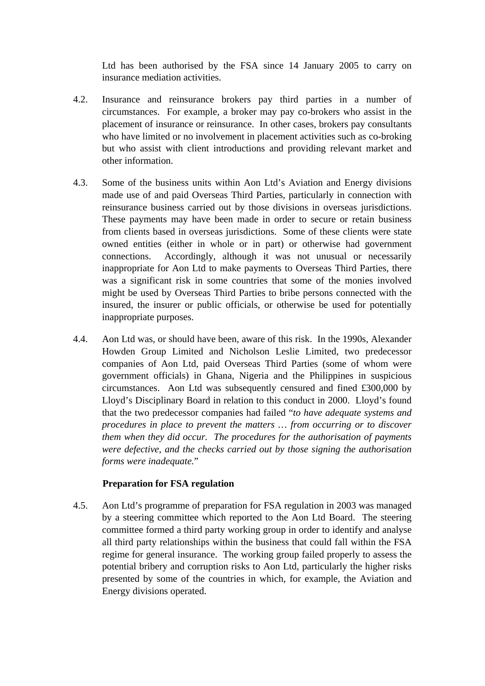Ltd has been authorised by the FSA since 14 January 2005 to carry on insurance mediation activities.

- 4.2. Insurance and reinsurance brokers pay third parties in a number of circumstances. For example, a broker may pay co-brokers who assist in the placement of insurance or reinsurance. In other cases, brokers pay consultants who have limited or no involvement in placement activities such as co-broking but who assist with client introductions and providing relevant market and other information.
- 4.3. Some of the business units within Aon Ltd's Aviation and Energy divisions made use of and paid Overseas Third Parties, particularly in connection with reinsurance business carried out by those divisions in overseas jurisdictions. These payments may have been made in order to secure or retain business from clients based in overseas jurisdictions. Some of these clients were state owned entities (either in whole or in part) or otherwise had government connections. Accordingly, although it was not unusual or necessarily inappropriate for Aon Ltd to make payments to Overseas Third Parties, there was a significant risk in some countries that some of the monies involved might be used by Overseas Third Parties to bribe persons connected with the insured, the insurer or public officials, or otherwise be used for potentially inappropriate purposes.
- 4.4. Aon Ltd was, or should have been, aware of this risk. In the 1990s, Alexander Howden Group Limited and Nicholson Leslie Limited, two predecessor companies of Aon Ltd, paid Overseas Third Parties (some of whom were government officials) in Ghana, Nigeria and the Philippines in suspicious circumstances. Aon Ltd was subsequently censured and fined £300,000 by Lloyd's Disciplinary Board in relation to this conduct in 2000. Lloyd's found that the two predecessor companies had failed "*to have adequate systems and procedures in place to prevent the matters … from occurring or to discover them when they did occur. The procedures for the authorisation of payments were defective, and the checks carried out by those signing the authorisation forms were inadequate.*"

#### **Preparation for FSA regulation**

4.5. Aon Ltd's programme of preparation for FSA regulation in 2003 was managed by a steering committee which reported to the Aon Ltd Board. The steering committee formed a third party working group in order to identify and analyse all third party relationships within the business that could fall within the FSA regime for general insurance. The working group failed properly to assess the potential bribery and corruption risks to Aon Ltd, particularly the higher risks presented by some of the countries in which, for example, the Aviation and Energy divisions operated.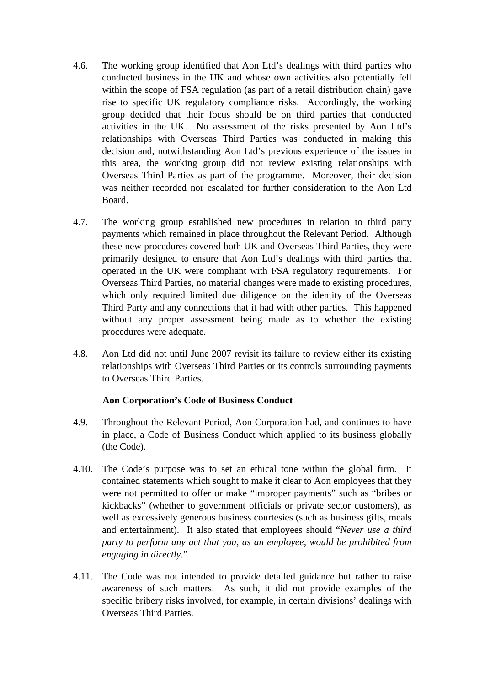- 4.6. The working group identified that Aon Ltd's dealings with third parties who conducted business in the UK and whose own activities also potentially fell within the scope of FSA regulation (as part of a retail distribution chain) gave rise to specific UK regulatory compliance risks. Accordingly, the working group decided that their focus should be on third parties that conducted activities in the UK. No assessment of the risks presented by Aon Ltd's relationships with Overseas Third Parties was conducted in making this decision and, notwithstanding Aon Ltd's previous experience of the issues in this area, the working group did not review existing relationships with Overseas Third Parties as part of the programme. Moreover, their decision was neither recorded nor escalated for further consideration to the Aon Ltd Board.
- 4.7. The working group established new procedures in relation to third party payments which remained in place throughout the Relevant Period. Although these new procedures covered both UK and Overseas Third Parties, they were primarily designed to ensure that Aon Ltd's dealings with third parties that operated in the UK were compliant with FSA regulatory requirements. For Overseas Third Parties, no material changes were made to existing procedures, which only required limited due diligence on the identity of the Overseas Third Party and any connections that it had with other parties. This happened without any proper assessment being made as to whether the existing procedures were adequate.
- 4.8. Aon Ltd did not until June 2007 revisit its failure to review either its existing relationships with Overseas Third Parties or its controls surrounding payments to Overseas Third Parties.

#### **Aon Corporation's Code of Business Conduct**

- 4.9. Throughout the Relevant Period, Aon Corporation had, and continues to have in place, a Code of Business Conduct which applied to its business globally (the Code).
- 4.10. The Code's purpose was to set an ethical tone within the global firm. It contained statements which sought to make it clear to Aon employees that they were not permitted to offer or make "improper payments" such as "bribes or kickbacks" (whether to government officials or private sector customers), as well as excessively generous business courtesies (such as business gifts, meals and entertainment). It also stated that employees should "*Never use a third party to perform any act that you, as an employee, would be prohibited from engaging in directly.*"
- 4.11. The Code was not intended to provide detailed guidance but rather to raise awareness of such matters. As such, it did not provide examples of the specific bribery risks involved, for example, in certain divisions' dealings with Overseas Third Parties.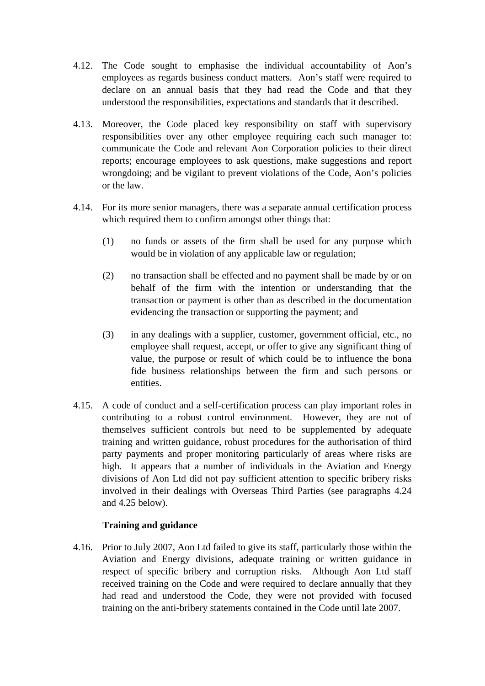- 4.12. The Code sought to emphasise the individual accountability of Aon's employees as regards business conduct matters. Aon's staff were required to declare on an annual basis that they had read the Code and that they understood the responsibilities, expectations and standards that it described.
- 4.13. Moreover, the Code placed key responsibility on staff with supervisory responsibilities over any other employee requiring each such manager to: communicate the Code and relevant Aon Corporation policies to their direct reports; encourage employees to ask questions, make suggestions and report wrongdoing; and be vigilant to prevent violations of the Code, Aon's policies or the law.
- 4.14. For its more senior managers, there was a separate annual certification process which required them to confirm amongst other things that:
	- (1) no funds or assets of the firm shall be used for any purpose which would be in violation of any applicable law or regulation;
	- (2) no transaction shall be effected and no payment shall be made by or on behalf of the firm with the intention or understanding that the transaction or payment is other than as described in the documentation evidencing the transaction or supporting the payment; and
	- (3) in any dealings with a supplier, customer, government official, etc., no employee shall request, accept, or offer to give any significant thing of value, the purpose or result of which could be to influence the bona fide business relationships between the firm and such persons or entities.
- 4.15. A code of conduct and a self-certification process can play important roles in contributing to a robust control environment. However, they are not of themselves sufficient controls but need to be supplemented by adequate training and written guidance, robust procedures for the authorisation of third party payments and proper monitoring particularly of areas where risks are high. It appears that a number of individuals in the Aviation and Energy divisions of Aon Ltd did not pay sufficient attention to specific bribery risks involved in their dealings with Overseas Third Parties (see paragraphs 4.24 and 4.25 below).

## **Training and guidance**

4.16. Prior to July 2007, Aon Ltd failed to give its staff, particularly those within the Aviation and Energy divisions, adequate training or written guidance in respect of specific bribery and corruption risks. Although Aon Ltd staff received training on the Code and were required to declare annually that they had read and understood the Code, they were not provided with focused training on the anti-bribery statements contained in the Code until late 2007.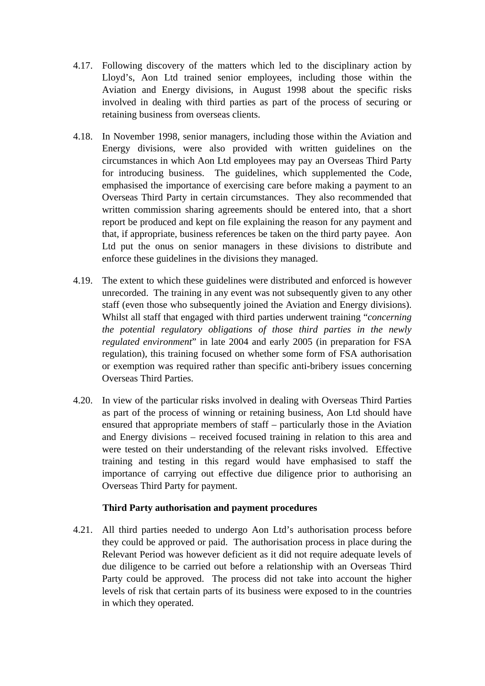- 4.17. Following discovery of the matters which led to the disciplinary action by Lloyd's, Aon Ltd trained senior employees, including those within the Aviation and Energy divisions, in August 1998 about the specific risks involved in dealing with third parties as part of the process of securing or retaining business from overseas clients.
- 4.18. In November 1998, senior managers, including those within the Aviation and Energy divisions, were also provided with written guidelines on the circumstances in which Aon Ltd employees may pay an Overseas Third Party for introducing business. The guidelines, which supplemented the Code, emphasised the importance of exercising care before making a payment to an Overseas Third Party in certain circumstances. They also recommended that written commission sharing agreements should be entered into, that a short report be produced and kept on file explaining the reason for any payment and that, if appropriate, business references be taken on the third party payee. Aon Ltd put the onus on senior managers in these divisions to distribute and enforce these guidelines in the divisions they managed.
- 4.19. The extent to which these guidelines were distributed and enforced is however unrecorded. The training in any event was not subsequently given to any other staff (even those who subsequently joined the Aviation and Energy divisions). Whilst all staff that engaged with third parties underwent training "*concerning the potential regulatory obligations of those third parties in the newly regulated environment*" in late 2004 and early 2005 (in preparation for FSA regulation), this training focused on whether some form of FSA authorisation or exemption was required rather than specific anti-bribery issues concerning Overseas Third Parties.
- 4.20. In view of the particular risks involved in dealing with Overseas Third Parties as part of the process of winning or retaining business, Aon Ltd should have ensured that appropriate members of staff – particularly those in the Aviation and Energy divisions – received focused training in relation to this area and were tested on their understanding of the relevant risks involved. Effective training and testing in this regard would have emphasised to staff the importance of carrying out effective due diligence prior to authorising an Overseas Third Party for payment.

#### **Third Party authorisation and payment procedures**

4.21. All third parties needed to undergo Aon Ltd's authorisation process before they could be approved or paid. The authorisation process in place during the Relevant Period was however deficient as it did not require adequate levels of due diligence to be carried out before a relationship with an Overseas Third Party could be approved. The process did not take into account the higher levels of risk that certain parts of its business were exposed to in the countries in which they operated.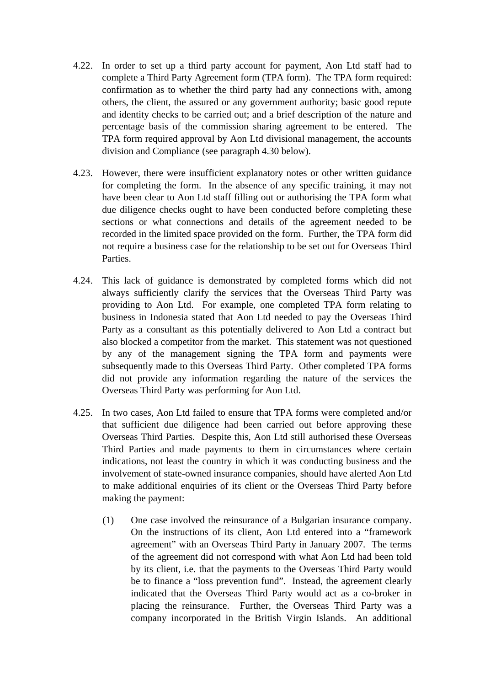- 4.22. In order to set up a third party account for payment, Aon Ltd staff had to complete a Third Party Agreement form (TPA form). The TPA form required: confirmation as to whether the third party had any connections with, among others, the client, the assured or any government authority; basic good repute and identity checks to be carried out; and a brief description of the nature and percentage basis of the commission sharing agreement to be entered. The TPA form required approval by Aon Ltd divisional management, the accounts division and Compliance (see paragraph 4.30 below).
- 4.23. However, there were insufficient explanatory notes or other written guidance for completing the form. In the absence of any specific training, it may not have been clear to Aon Ltd staff filling out or authorising the TPA form what due diligence checks ought to have been conducted before completing these sections or what connections and details of the agreement needed to be recorded in the limited space provided on the form. Further, the TPA form did not require a business case for the relationship to be set out for Overseas Third Parties.
- 4.24. This lack of guidance is demonstrated by completed forms which did not always sufficiently clarify the services that the Overseas Third Party was providing to Aon Ltd. For example, one completed TPA form relating to business in Indonesia stated that Aon Ltd needed to pay the Overseas Third Party as a consultant as this potentially delivered to Aon Ltd a contract but also blocked a competitor from the market. This statement was not questioned by any of the management signing the TPA form and payments were subsequently made to this Overseas Third Party. Other completed TPA forms did not provide any information regarding the nature of the services the Overseas Third Party was performing for Aon Ltd.
- 4.25. In two cases, Aon Ltd failed to ensure that TPA forms were completed and/or that sufficient due diligence had been carried out before approving these Overseas Third Parties. Despite this, Aon Ltd still authorised these Overseas Third Parties and made payments to them in circumstances where certain indications, not least the country in which it was conducting business and the involvement of state-owned insurance companies, should have alerted Aon Ltd to make additional enquiries of its client or the Overseas Third Party before making the payment:
	- (1) One case involved the reinsurance of a Bulgarian insurance company. On the instructions of its client, Aon Ltd entered into a "framework agreement" with an Overseas Third Party in January 2007. The terms of the agreement did not correspond with what Aon Ltd had been told by its client, i.e. that the payments to the Overseas Third Party would be to finance a "loss prevention fund". Instead, the agreement clearly indicated that the Overseas Third Party would act as a co-broker in placing the reinsurance. Further, the Overseas Third Party was a company incorporated in the British Virgin Islands. An additional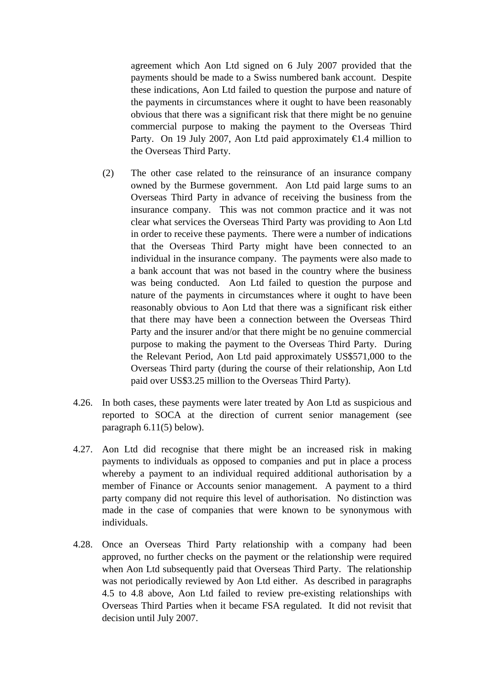agreement which Aon Ltd signed on 6 July 2007 provided that the payments should be made to a Swiss numbered bank account. Despite these indications, Aon Ltd failed to question the purpose and nature of the payments in circumstances where it ought to have been reasonably obvious that there was a significant risk that there might be no genuine commercial purpose to making the payment to the Overseas Third Party. On 19 July 2007, Aon Ltd paid approximately  $\bigoplus A$  million to the Overseas Third Party.

- (2) The other case related to the reinsurance of an insurance company owned by the Burmese government. Aon Ltd paid large sums to an Overseas Third Party in advance of receiving the business from the insurance company. This was not common practice and it was not clear what services the Overseas Third Party was providing to Aon Ltd in order to receive these payments. There were a number of indications that the Overseas Third Party might have been connected to an individual in the insurance company. The payments were also made to a bank account that was not based in the country where the business was being conducted. Aon Ltd failed to question the purpose and nature of the payments in circumstances where it ought to have been reasonably obvious to Aon Ltd that there was a significant risk either that there may have been a connection between the Overseas Third Party and the insurer and/or that there might be no genuine commercial purpose to making the payment to the Overseas Third Party. During the Relevant Period, Aon Ltd paid approximately US\$571,000 to the Overseas Third party (during the course of their relationship, Aon Ltd paid over US\$3.25 million to the Overseas Third Party).
- 4.26. In both cases, these payments were later treated by Aon Ltd as suspicious and reported to SOCA at the direction of current senior management (see paragraph 6.11(5) below).
- 4.27. Aon Ltd did recognise that there might be an increased risk in making payments to individuals as opposed to companies and put in place a process whereby a payment to an individual required additional authorisation by a member of Finance or Accounts senior management. A payment to a third party company did not require this level of authorisation. No distinction was made in the case of companies that were known to be synonymous with individuals.
- 4.28. Once an Overseas Third Party relationship with a company had been approved, no further checks on the payment or the relationship were required when Aon Ltd subsequently paid that Overseas Third Party. The relationship was not periodically reviewed by Aon Ltd either. As described in paragraphs 4.5 to 4.8 above, Aon Ltd failed to review pre-existing relationships with Overseas Third Parties when it became FSA regulated. It did not revisit that decision until July 2007.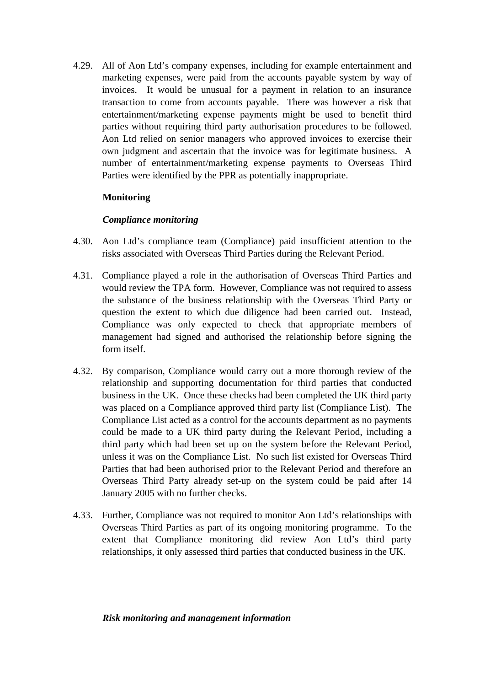4.29. All of Aon Ltd's company expenses, including for example entertainment and marketing expenses, were paid from the accounts payable system by way of invoices. It would be unusual for a payment in relation to an insurance transaction to come from accounts payable. There was however a risk that entertainment/marketing expense payments might be used to benefit third parties without requiring third party authorisation procedures to be followed. Aon Ltd relied on senior managers who approved invoices to exercise their own judgment and ascertain that the invoice was for legitimate business. A number of entertainment/marketing expense payments to Overseas Third Parties were identified by the PPR as potentially inappropriate.

## **Monitoring**

#### *Compliance monitoring*

- 4.30. Aon Ltd's compliance team (Compliance) paid insufficient attention to the risks associated with Overseas Third Parties during the Relevant Period.
- 4.31. Compliance played a role in the authorisation of Overseas Third Parties and would review the TPA form. However, Compliance was not required to assess the substance of the business relationship with the Overseas Third Party or question the extent to which due diligence had been carried out. Instead, Compliance was only expected to check that appropriate members of management had signed and authorised the relationship before signing the form itself.
- 4.32. By comparison, Compliance would carry out a more thorough review of the relationship and supporting documentation for third parties that conducted business in the UK. Once these checks had been completed the UK third party was placed on a Compliance approved third party list (Compliance List). The Compliance List acted as a control for the accounts department as no payments could be made to a UK third party during the Relevant Period, including a third party which had been set up on the system before the Relevant Period, unless it was on the Compliance List. No such list existed for Overseas Third Parties that had been authorised prior to the Relevant Period and therefore an Overseas Third Party already set-up on the system could be paid after 14 January 2005 with no further checks.
- 4.33. Further, Compliance was not required to monitor Aon Ltd's relationships with Overseas Third Parties as part of its ongoing monitoring programme. To the extent that Compliance monitoring did review Aon Ltd's third party relationships, it only assessed third parties that conducted business in the UK.

#### *Risk monitoring and management information*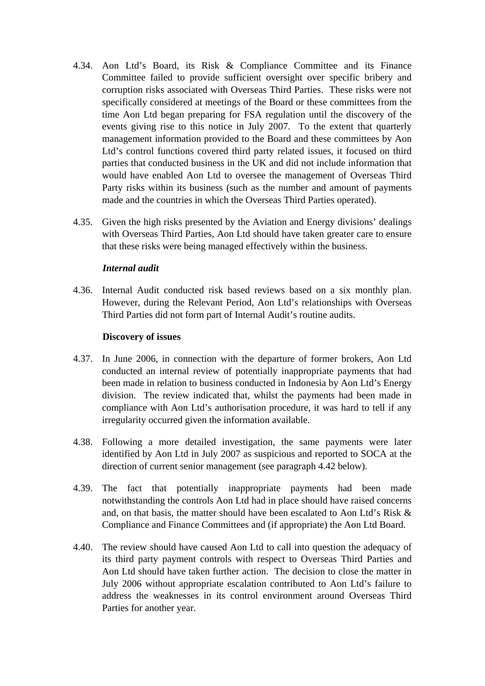- 4.34. Aon Ltd's Board, its Risk & Compliance Committee and its Finance Committee failed to provide sufficient oversight over specific bribery and corruption risks associated with Overseas Third Parties. These risks were not specifically considered at meetings of the Board or these committees from the time Aon Ltd began preparing for FSA regulation until the discovery of the events giving rise to this notice in July 2007. To the extent that quarterly management information provided to the Board and these committees by Aon Ltd's control functions covered third party related issues, it focused on third parties that conducted business in the UK and did not include information that would have enabled Aon Ltd to oversee the management of Overseas Third Party risks within its business (such as the number and amount of payments made and the countries in which the Overseas Third Parties operated).
- 4.35. Given the high risks presented by the Aviation and Energy divisions' dealings with Overseas Third Parties, Aon Ltd should have taken greater care to ensure that these risks were being managed effectively within the business.

#### *Internal audit*

4.36. Internal Audit conducted risk based reviews based on a six monthly plan. However, during the Relevant Period, Aon Ltd's relationships with Overseas Third Parties did not form part of Internal Audit's routine audits.

#### **Discovery of issues**

- 4.37. In June 2006, in connection with the departure of former brokers, Aon Ltd conducted an internal review of potentially inappropriate payments that had been made in relation to business conducted in Indonesia by Aon Ltd's Energy division. The review indicated that, whilst the payments had been made in compliance with Aon Ltd's authorisation procedure, it was hard to tell if any irregularity occurred given the information available.
- 4.38. Following a more detailed investigation, the same payments were later identified by Aon Ltd in July 2007 as suspicious and reported to SOCA at the direction of current senior management (see paragraph 4.42 below).
- 4.39. The fact that potentially inappropriate payments had been made notwithstanding the controls Aon Ltd had in place should have raised concerns and, on that basis, the matter should have been escalated to Aon Ltd's Risk & Compliance and Finance Committees and (if appropriate) the Aon Ltd Board.
- 4.40. The review should have caused Aon Ltd to call into question the adequacy of its third party payment controls with respect to Overseas Third Parties and Aon Ltd should have taken further action. The decision to close the matter in July 2006 without appropriate escalation contributed to Aon Ltd's failure to address the weaknesses in its control environment around Overseas Third Parties for another year.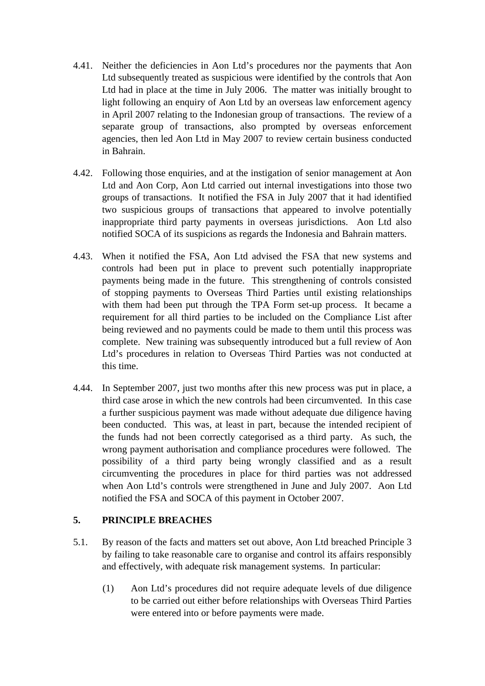- 4.41. Neither the deficiencies in Aon Ltd's procedures nor the payments that Aon Ltd subsequently treated as suspicious were identified by the controls that Aon Ltd had in place at the time in July 2006. The matter was initially brought to light following an enquiry of Aon Ltd by an overseas law enforcement agency in April 2007 relating to the Indonesian group of transactions. The review of a separate group of transactions, also prompted by overseas enforcement agencies, then led Aon Ltd in May 2007 to review certain business conducted in Bahrain.
- 4.42. Following those enquiries, and at the instigation of senior management at Aon Ltd and Aon Corp, Aon Ltd carried out internal investigations into those two groups of transactions. It notified the FSA in July 2007 that it had identified two suspicious groups of transactions that appeared to involve potentially inappropriate third party payments in overseas jurisdictions. Aon Ltd also notified SOCA of its suspicions as regards the Indonesia and Bahrain matters.
- 4.43. When it notified the FSA, Aon Ltd advised the FSA that new systems and controls had been put in place to prevent such potentially inappropriate payments being made in the future. This strengthening of controls consisted of stopping payments to Overseas Third Parties until existing relationships with them had been put through the TPA Form set-up process. It became a requirement for all third parties to be included on the Compliance List after being reviewed and no payments could be made to them until this process was complete. New training was subsequently introduced but a full review of Aon Ltd's procedures in relation to Overseas Third Parties was not conducted at this time.
- 4.44. In September 2007, just two months after this new process was put in place, a third case arose in which the new controls had been circumvented. In this case a further suspicious payment was made without adequate due diligence having been conducted. This was, at least in part, because the intended recipient of the funds had not been correctly categorised as a third party. As such, the wrong payment authorisation and compliance procedures were followed. The possibility of a third party being wrongly classified and as a result circumventing the procedures in place for third parties was not addressed when Aon Ltd's controls were strengthened in June and July 2007. Aon Ltd notified the FSA and SOCA of this payment in October 2007.

## **5. PRINCIPLE BREACHES**

- 5.1. By reason of the facts and matters set out above, Aon Ltd breached Principle 3 by failing to take reasonable care to organise and control its affairs responsibly and effectively, with adequate risk management systems. In particular:
	- (1) Aon Ltd's procedures did not require adequate levels of due diligence to be carried out either before relationships with Overseas Third Parties were entered into or before payments were made.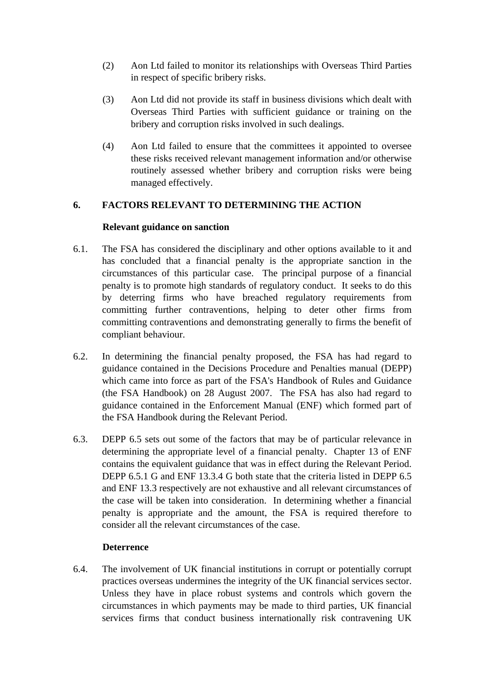- (2) Aon Ltd failed to monitor its relationships with Overseas Third Parties in respect of specific bribery risks.
- (3) Aon Ltd did not provide its staff in business divisions which dealt with Overseas Third Parties with sufficient guidance or training on the bribery and corruption risks involved in such dealings.
- (4) Aon Ltd failed to ensure that the committees it appointed to oversee these risks received relevant management information and/or otherwise routinely assessed whether bribery and corruption risks were being managed effectively.

## **6. FACTORS RELEVANT TO DETERMINING THE ACTION**

#### **Relevant guidance on sanction**

- 6.1. The FSA has considered the disciplinary and other options available to it and has concluded that a financial penalty is the appropriate sanction in the circumstances of this particular case. The principal purpose of a financial penalty is to promote high standards of regulatory conduct. It seeks to do this by deterring firms who have breached regulatory requirements from committing further contraventions, helping to deter other firms from committing contraventions and demonstrating generally to firms the benefit of compliant behaviour.
- 6.2. In determining the financial penalty proposed, the FSA has had regard to guidance contained in the Decisions Procedure and Penalties manual (DEPP) which came into force as part of the FSA's Handbook of Rules and Guidance (the FSA Handbook) on 28 August 2007. The FSA has also had regard to guidance contained in the Enforcement Manual (ENF) which formed part of the FSA Handbook during the Relevant Period.
- 6.3. DEPP 6.5 sets out some of the factors that may be of particular relevance in determining the appropriate level of a financial penalty. Chapter 13 of ENF contains the equivalent guidance that was in effect during the Relevant Period. DEPP 6.5.1 G and ENF 13.3.4 G both state that the criteria listed in DEPP 6.5 and ENF 13.3 respectively are not exhaustive and all relevant circumstances of the case will be taken into consideration. In determining whether a financial penalty is appropriate and the amount, the FSA is required therefore to consider all the relevant circumstances of the case.

#### **Deterrence**

6.4. The involvement of UK financial institutions in corrupt or potentially corrupt practices overseas undermines the integrity of the UK financial services sector. Unless they have in place robust systems and controls which govern the circumstances in which payments may be made to third parties, UK financial services firms that conduct business internationally risk contravening UK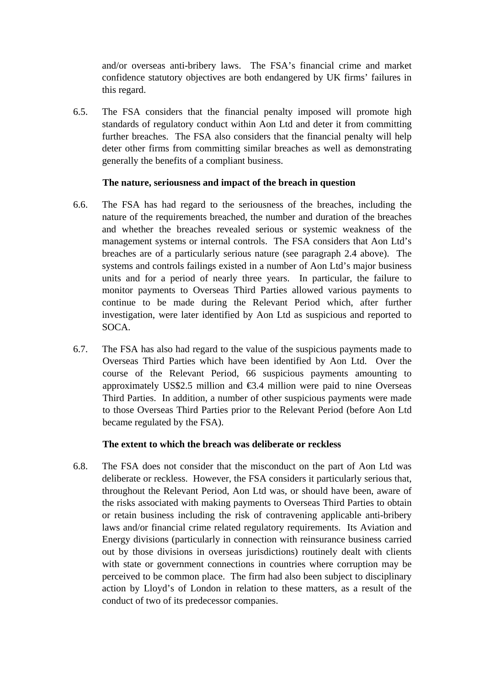and/or overseas anti-bribery laws. The FSA's financial crime and market confidence statutory objectives are both endangered by UK firms' failures in this regard.

6.5. The FSA considers that the financial penalty imposed will promote high standards of regulatory conduct within Aon Ltd and deter it from committing further breaches. The FSA also considers that the financial penalty will help deter other firms from committing similar breaches as well as demonstrating generally the benefits of a compliant business.

#### **The nature, seriousness and impact of the breach in question**

- 6.6. The FSA has had regard to the seriousness of the breaches, including the nature of the requirements breached, the number and duration of the breaches and whether the breaches revealed serious or systemic weakness of the management systems or internal controls. The FSA considers that Aon Ltd's breaches are of a particularly serious nature (see paragraph 2.4 above). The systems and controls failings existed in a number of Aon Ltd's major business units and for a period of nearly three years. In particular, the failure to monitor payments to Overseas Third Parties allowed various payments to continue to be made during the Relevant Period which, after further investigation, were later identified by Aon Ltd as suspicious and reported to SOCA.
- 6.7. The FSA has also had regard to the value of the suspicious payments made to Overseas Third Parties which have been identified by Aon Ltd. Over the course of the Relevant Period, 66 suspicious payments amounting to approximately US\$2.5 million and  $\epsilon$ 3.4 million were paid to nine Overseas Third Parties. In addition, a number of other suspicious payments were made to those Overseas Third Parties prior to the Relevant Period (before Aon Ltd became regulated by the FSA).

#### **The extent to which the breach was deliberate or reckless**

6.8. The FSA does not consider that the misconduct on the part of Aon Ltd was deliberate or reckless. However, the FSA considers it particularly serious that, throughout the Relevant Period, Aon Ltd was, or should have been, aware of the risks associated with making payments to Overseas Third Parties to obtain or retain business including the risk of contravening applicable anti-bribery laws and/or financial crime related regulatory requirements. Its Aviation and Energy divisions (particularly in connection with reinsurance business carried out by those divisions in overseas jurisdictions) routinely dealt with clients with state or government connections in countries where corruption may be perceived to be common place. The firm had also been subject to disciplinary action by Lloyd's of London in relation to these matters, as a result of the conduct of two of its predecessor companies.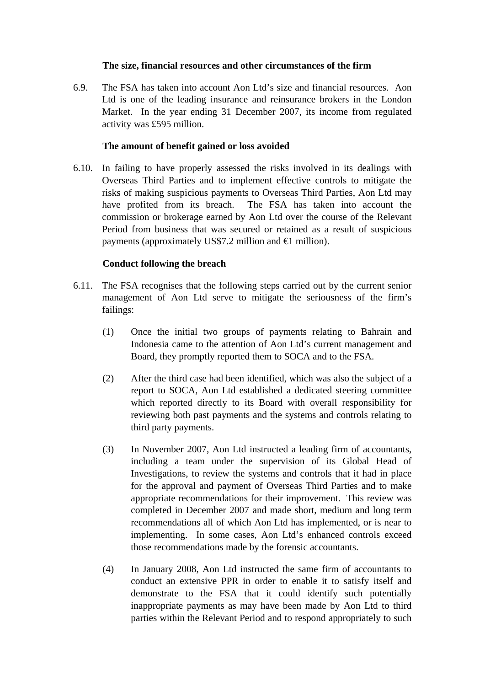#### **The size, financial resources and other circumstances of the firm**

6.9. The FSA has taken into account Aon Ltd's size and financial resources. Aon Ltd is one of the leading insurance and reinsurance brokers in the London Market. In the year ending 31 December 2007, its income from regulated activity was £595 million.

#### **The amount of benefit gained or loss avoided**

6.10. In failing to have properly assessed the risks involved in its dealings with Overseas Third Parties and to implement effective controls to mitigate the risks of making suspicious payments to Overseas Third Parties, Aon Ltd may have profited from its breach. The FSA has taken into account the commission or brokerage earned by Aon Ltd over the course of the Relevant Period from business that was secured or retained as a result of suspicious payments (approximately US\$7.2 million and  $\in$  million).

## **Conduct following the breach**

- 6.11. The FSA recognises that the following steps carried out by the current senior management of Aon Ltd serve to mitigate the seriousness of the firm's failings:
	- (1) Once the initial two groups of payments relating to Bahrain and Indonesia came to the attention of Aon Ltd's current management and Board, they promptly reported them to SOCA and to the FSA.
	- (2) After the third case had been identified, which was also the subject of a report to SOCA, Aon Ltd established a dedicated steering committee which reported directly to its Board with overall responsibility for reviewing both past payments and the systems and controls relating to third party payments.
	- (3) In November 2007, Aon Ltd instructed a leading firm of accountants, including a team under the supervision of its Global Head of Investigations, to review the systems and controls that it had in place for the approval and payment of Overseas Third Parties and to make appropriate recommendations for their improvement. This review was completed in December 2007 and made short, medium and long term recommendations all of which Aon Ltd has implemented, or is near to implementing. In some cases, Aon Ltd's enhanced controls exceed those recommendations made by the forensic accountants.
	- (4) In January 2008, Aon Ltd instructed the same firm of accountants to conduct an extensive PPR in order to enable it to satisfy itself and demonstrate to the FSA that it could identify such potentially inappropriate payments as may have been made by Aon Ltd to third parties within the Relevant Period and to respond appropriately to such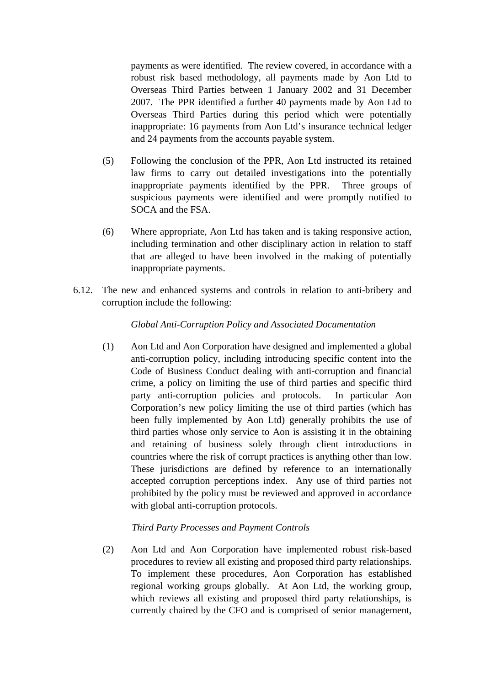payments as were identified. The review covered, in accordance with a robust risk based methodology, all payments made by Aon Ltd to Overseas Third Parties between 1 January 2002 and 31 December 2007. The PPR identified a further 40 payments made by Aon Ltd to Overseas Third Parties during this period which were potentially inappropriate: 16 payments from Aon Ltd's insurance technical ledger and 24 payments from the accounts payable system.

- (5) Following the conclusion of the PPR, Aon Ltd instructed its retained law firms to carry out detailed investigations into the potentially inappropriate payments identified by the PPR. Three groups of suspicious payments were identified and were promptly notified to SOCA and the FSA.
- (6) Where appropriate, Aon Ltd has taken and is taking responsive action, including termination and other disciplinary action in relation to staff that are alleged to have been involved in the making of potentially inappropriate payments.
- 6.12. The new and enhanced systems and controls in relation to anti-bribery and corruption include the following:

#### *Global Anti-Corruption Policy and Associated Documentation*

(1) Aon Ltd and Aon Corporation have designed and implemented a global anti-corruption policy, including introducing specific content into the Code of Business Conduct dealing with anti-corruption and financial crime, a policy on limiting the use of third parties and specific third party anti-corruption policies and protocols. In particular Aon Corporation's new policy limiting the use of third parties (which has been fully implemented by Aon Ltd) generally prohibits the use of third parties whose only service to Aon is assisting it in the obtaining and retaining of business solely through client introductions in countries where the risk of corrupt practices is anything other than low. These jurisdictions are defined by reference to an internationally accepted corruption perceptions index. Any use of third parties not prohibited by the policy must be reviewed and approved in accordance with global anti-corruption protocols.

#### *Third Party Processes and Payment Controls*

(2) Aon Ltd and Aon Corporation have implemented robust risk-based procedures to review all existing and proposed third party relationships. To implement these procedures, Aon Corporation has established regional working groups globally. At Aon Ltd, the working group, which reviews all existing and proposed third party relationships, is currently chaired by the CFO and is comprised of senior management,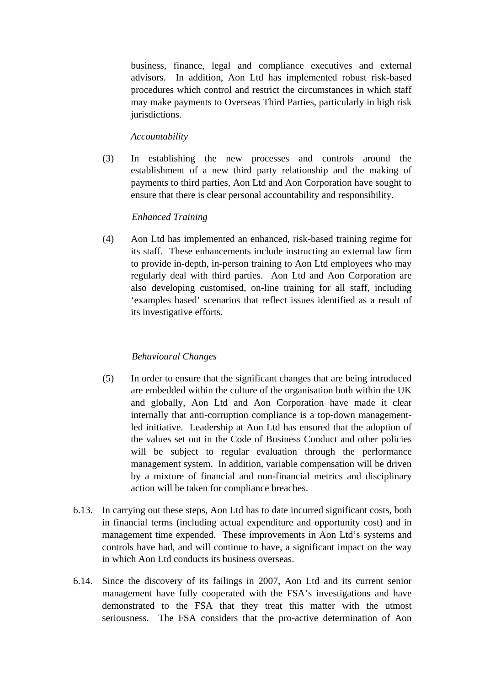business, finance, legal and compliance executives and external advisors. In addition, Aon Ltd has implemented robust risk-based procedures which control and restrict the circumstances in which staff may make payments to Overseas Third Parties, particularly in high risk jurisdictions.

### *Accountability*

(3) In establishing the new processes and controls around the establishment of a new third party relationship and the making of payments to third parties, Aon Ltd and Aon Corporation have sought to ensure that there is clear personal accountability and responsibility.

#### *Enhanced Training*

(4) Aon Ltd has implemented an enhanced, risk-based training regime for its staff. These enhancements include instructing an external law firm to provide in-depth, in-person training to Aon Ltd employees who may regularly deal with third parties. Aon Ltd and Aon Corporation are also developing customised, on-line training for all staff, including 'examples based' scenarios that reflect issues identified as a result of its investigative efforts.

## *Behavioural Changes*

- (5) In order to ensure that the significant changes that are being introduced are embedded within the culture of the organisation both within the UK and globally, Aon Ltd and Aon Corporation have made it clear internally that anti-corruption compliance is a top-down managementled initiative. Leadership at Aon Ltd has ensured that the adoption of the values set out in the Code of Business Conduct and other policies will be subject to regular evaluation through the performance management system. In addition, variable compensation will be driven by a mixture of financial and non-financial metrics and disciplinary action will be taken for compliance breaches.
- 6.13. In carrying out these steps, Aon Ltd has to date incurred significant costs, both in financial terms (including actual expenditure and opportunity cost) and in management time expended. These improvements in Aon Ltd's systems and controls have had, and will continue to have, a significant impact on the way in which Aon Ltd conducts its business overseas.
- 6.14. Since the discovery of its failings in 2007, Aon Ltd and its current senior management have fully cooperated with the FSA's investigations and have demonstrated to the FSA that they treat this matter with the utmost seriousness. The FSA considers that the pro-active determination of Aon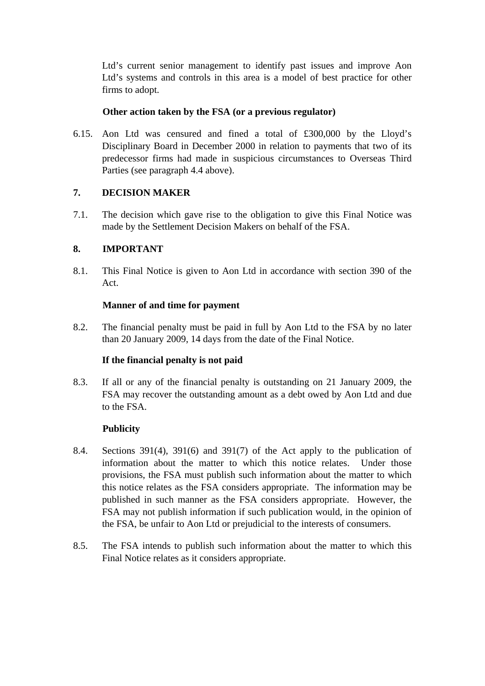Ltd's current senior management to identify past issues and improve Aon Ltd's systems and controls in this area is a model of best practice for other firms to adopt.

### **Other action taken by the FSA (or a previous regulator)**

6.15. Aon Ltd was censured and fined a total of £300,000 by the Lloyd's Disciplinary Board in December 2000 in relation to payments that two of its predecessor firms had made in suspicious circumstances to Overseas Third Parties (see paragraph 4.4 above).

# **7. DECISION MAKER**

7.1. The decision which gave rise to the obligation to give this Final Notice was made by the Settlement Decision Makers on behalf of the FSA.

## **8. IMPORTANT**

8.1. This Final Notice is given to Aon Ltd in accordance with section 390 of the Act.

## **Manner of and time for payment**

8.2. The financial penalty must be paid in full by Aon Ltd to the FSA by no later than 20 January 2009, 14 days from the date of the Final Notice.

## **If the financial penalty is not paid**

8.3. If all or any of the financial penalty is outstanding on 21 January 2009, the FSA may recover the outstanding amount as a debt owed by Aon Ltd and due to the FSA.

## **Publicity**

- 8.4. Sections  $391(4)$ ,  $391(6)$  and  $391(7)$  of the Act apply to the publication of information about the matter to which this notice relates. Under those provisions, the FSA must publish such information about the matter to which this notice relates as the FSA considers appropriate. The information may be published in such manner as the FSA considers appropriate. However, the FSA may not publish information if such publication would, in the opinion of the FSA, be unfair to Aon Ltd or prejudicial to the interests of consumers.
- 8.5. The FSA intends to publish such information about the matter to which this Final Notice relates as it considers appropriate.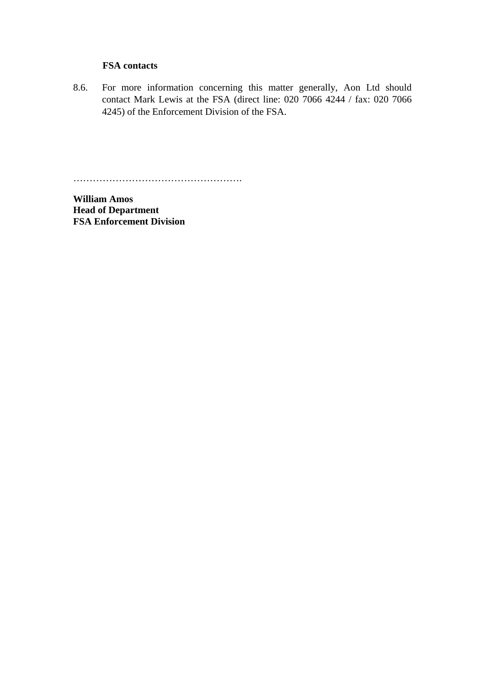#### **FSA contacts**

8.6. For more information concerning this matter generally, Aon Ltd should contact Mark Lewis at the FSA (direct line: 020 7066 4244 / fax: 020 7066 4245) of the Enforcement Division of the FSA.

…………………………………………….

**William Amos Head of Department FSA Enforcement Division**